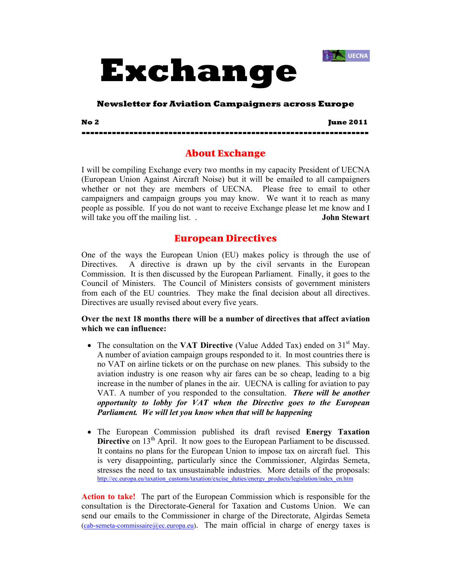



# **Newsletter for Aviation Campaigners across Europe**

**No 2 June 2011** 

# About Exchange

**------------------------------------------------------------------** 

I will be compiling Exchange every two months in my capacity President of UECNA (European Union Against Aircraft Noise) but it will be emailed to all campaigners whether or not they are members of UECNA. Please free to email to other campaigners and campaign groups you may know. We want it to reach as many people as possible. If you do not want to receive Exchange please let me know and I will take you off the mailing list. . **John Stewart**

# European Directives

One of the ways the European Union (EU) makes policy is through the use of Directives. A directive is drawn up by the civil servants in the European Commission. It is then discussed by the European Parliament. Finally, it goes to the Council of Ministers. The Council of Ministers consists of government ministers from each of the EU countries. They make the final decision about all directives. Directives are usually revised about every five years.

# **Over the next 18 months there will be a number of directives that affect aviation which we can influence:**

- The consultation on the **VAT Directive** (Value Added Tax) ended on 31<sup>st</sup> May. A number of aviation campaign groups responded to it. In most countries there is no VAT on airline tickets or on the purchase on new planes. This subsidy to the aviation industry is one reason why air fares can be so cheap, leading to a big increase in the number of planes in the air. UECNA is calling for aviation to pay VAT. A number of you responded to the consultation. *There will be another opportunity to lobby for VAT when the Directive goes to the European Parliament. We will let you know when that will be happening*
- The European Commission published its draft revised **Energy Taxation Directive** on 13<sup>th</sup> April. It now goes to the European Parliament to be discussed. It contains no plans for the European Union to impose tax on aircraft fuel. This is very disappointing, particularly since the Commissioner, Algirdas Semeta, stresses the need to tax unsustainable industries. More details of the proposals: http://ec.europa.eu/taxation\_customs/taxation/excise\_duties/energy\_products/legislation/index\_en.htm

**Action to take!** The part of the European Commission which is responsible for the consultation is the Directorate-General for Taxation and Customs Union. We can send our emails to the Commissioner in charge of the Directorate, Algirdas Semeta  $(cab$ -semeta-commissaire@ec.europa.eu). The main official in charge of energy taxes is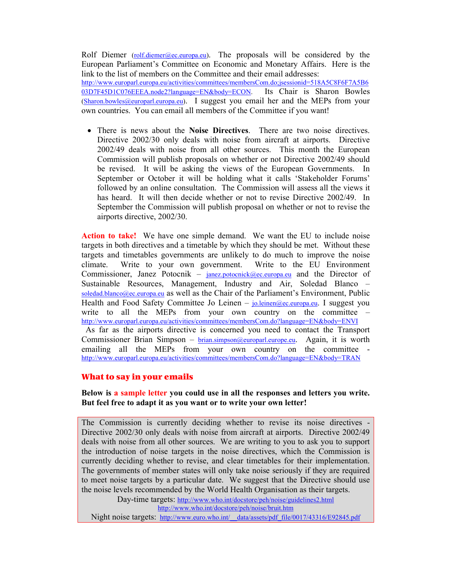Rolf Diemer  $(rolf.diemer@ec.europa.eu)$ . The proposals will be considered by the European Parliament's Committee on Economic and Monetary Affairs. Here is the link to the list of members on the Committee and their email addresses: http://www.europarl.europa.eu/activities/committees/membersCom.do;jsessionid=518A5C8F6F7A5B6 03D7F45D1C076EEEA.node2?language=EN&body=ECON. Its Chair is Sharon Bowles (Sharon.bowles@europarl.europa.eu). I suggest you email her and the MEPs from your own countries. You can email all members of the Committee if you want!

• There is news about the **Noise Directives**. There are two noise directives. Directive 2002/30 only deals with noise from aircraft at airports. Directive 2002/49 deals with noise from all other sources. This month the European Commission will publish proposals on whether or not Directive 2002/49 should be revised. It will be asking the views of the European Governments. In September or October it will be holding what it calls 'Stakeholder Forums' followed by an online consultation. The Commission will assess all the views it has heard. It will then decide whether or not to revise Directive 2002/49. In September the Commission will publish proposal on whether or not to revise the airports directive, 2002/30.

**Action to take!** We have one simple demand. We want the EU to include noise targets in both directives and a timetable by which they should be met. Without these targets and timetables governments are unlikely to do much to improve the noise climate. Write to your own government. Write to the EU Environment Commissioner, Janez Potocnik – janez.potocnick@ec.europa.eu and the Director of Sustainable Resources, Management, Industry and Air, Soledad Blanco – soledad.blanco@ec.europa.eu as well as the Chair of the Parliament's Environment, Public Health and Food Safety Committee Jo Leinen – <u>jo.leinen@ec.europa.eu</u>. I suggest you write to all the MEPs from your own country on the committee http://www.europarl.europa.eu/activities/committees/membersCom.do?language=EN&body=ENVI

 As far as the airports directive is concerned you need to contact the Transport Commissioner Brian Simpson – brian.simpson@europarl.europe.eu. Again, it is worth emailing all the MEPs from your own country on the committee http://www.europarl.europa.eu/activities/committees/membersCom.do?language=EN&body=TRAN

## What to say in your emails

# **Below is a sample letter you could use in all the responses and letters you write. But feel free to adapt it as you want or to write your own letter!**

The Commission is currently deciding whether to revise its noise directives - Directive 2002/30 only deals with noise from aircraft at airports. Directive 2002/49 deals with noise from all other sources. We are writing to you to ask you to support the introduction of noise targets in the noise directives, which the Commission is currently deciding whether to revise, and clear timetables for their implementation. The governments of member states will only take noise seriously if they are required to meet noise targets by a particular date. We suggest that the Directive should use the noise levels recommended by the World Health Organisation as their targets.

Day-time targets: http://www.who.int/docstore/peh/noise/guidelines2.html http://www.who.int/docstore/peh/noise/bruit.htm

Night noise targets: http://www.euro.who.int/\_\_data/assets/pdf\_file/0017/43316/E92845.pdf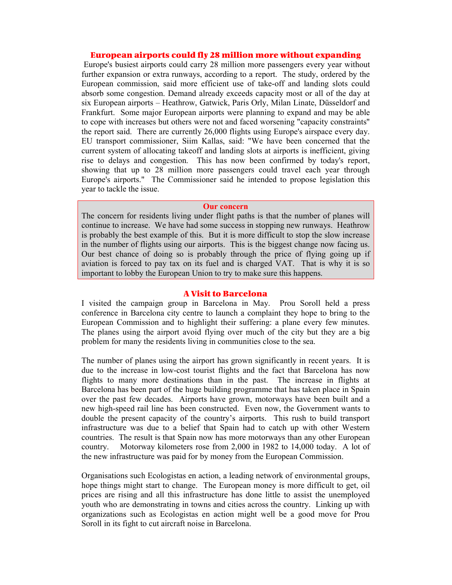# European airports could fly 28 million more without expanding

Europe's busiest airports could carry 28 million more passengers every year without further expansion or extra runways, according to a report. The study, ordered by the European commission, said more efficient use of take-off and landing slots could absorb some congestion. Demand already exceeds capacity most or all of the day at six European airports – Heathrow, Gatwick, Paris Orly, Milan Linate, Düsseldorf and Frankfurt. Some major European airports were planning to expand and may be able to cope with increases but others were not and faced worsening "capacity constraints" the report said. There are currently 26,000 flights using Europe's airspace every day. EU transport commissioner, Siim Kallas, said: "We have been concerned that the current system of allocating takeoff and landing slots at airports is inefficient, giving rise to delays and congestion. This has now been confirmed by today's report, showing that up to 28 million more passengers could travel each year through Europe's airports." The Commissioner said he intended to propose legislation this year to tackle the issue.

#### **Our concern**

The concern for residents living under flight paths is that the number of planes will continue to increase. We have had some success in stopping new runways. Heathrow is probably the best example of this. But it is more difficult to stop the slow increase in the number of flights using our airports. This is the biggest change now facing us. Our best chance of doing so is probably through the price of flying going up if aviation is forced to pay tax on its fuel and is charged VAT. That is why it is so important to lobby the European Union to try to make sure this happens.

#### A Visit to Barcelona

I visited the campaign group in Barcelona in May. Prou Soroll held a press conference in Barcelona city centre to launch a complaint they hope to bring to the European Commission and to highlight their suffering: a plane every few minutes. The planes using the airport avoid flying over much of the city but they are a big problem for many the residents living in communities close to the sea.

The number of planes using the airport has grown significantly in recent years. It is due to the increase in low-cost tourist flights and the fact that Barcelona has now flights to many more destinations than in the past. The increase in flights at Barcelona has been part of the huge building programme that has taken place in Spain over the past few decades. Airports have grown, motorways have been built and a new high-speed rail line has been constructed. Even now, the Government wants to double the present capacity of the country's airports. This rush to build transport infrastructure was due to a belief that Spain had to catch up with other Western countries. The result is that Spain now has more motorways than any other European country. Motorway kilometers rose from 2,000 in 1982 to 14,000 today. A lot of the new infrastructure was paid for by money from the European Commission.

Organisations such Ecologistas en action, a leading network of environmental groups, hope things might start to change. The European money is more difficult to get, oil prices are rising and all this infrastructure has done little to assist the unemployed youth who are demonstrating in towns and cities across the country. Linking up with organizations such as Ecologistas en action might well be a good move for Prou Soroll in its fight to cut aircraft noise in Barcelona.